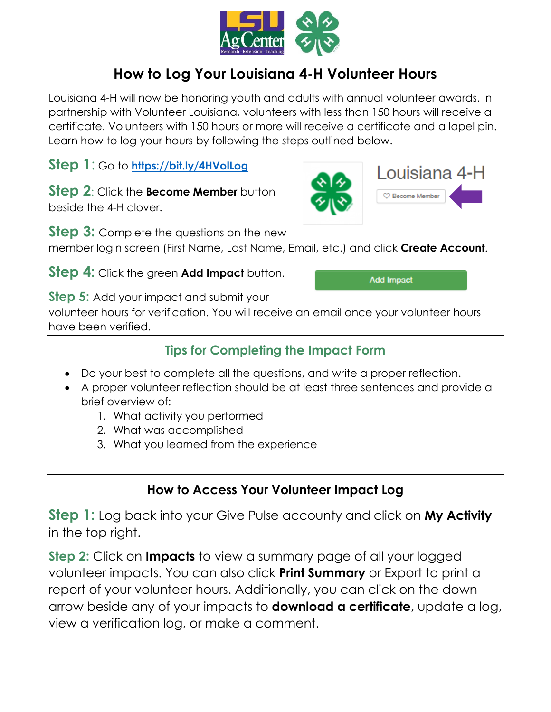

## **How to Log Your Louisiana 4-H Volunteer Hours**

Louisiana 4-H will now be honoring youth and adults with annual volunteer awards. In partnership with Volunteer Louisiana, volunteers with less than 150 hours will receive a certificate. Volunteers with 150 hours or more will receive a certificate and a lapel pin. Learn how to log your hours by following the steps outlined below.

**Step 1**: Go to **<https://bit.ly/4HVolLog>**

**Step 2: Click the Become Member** button beside the 4-H clover.

**Step 3:** Complete the questions on the new

member login screen (First Name, Last Name, Email, etc.) and click **Create Account**.

**Step 4:** Click the green **Add Impact** button.

**Add Impact** 

Louisiana 4-H

C Become Member

**Step 5:** Add your impact and submit your

volunteer hours for verification. You will receive an email once your volunteer hours have been verified.

## **Tips for Completing the Impact Form**

- Do your best to complete all the questions, and write a proper reflection.
- A proper volunteer reflection should be at least three sentences and provide a brief overview of:
	- 1. What activity you performed
	- 2. What was accomplished
	- 3. What you learned from the experience

## **How to Access Your Volunteer Impact Log**

**Step 1:** Log back into your Give Pulse accounty and click on **My Activity** in the top right.

**Step 2:** Click on **Impacts** to view a summary page of all your logged volunteer impacts. You can also click **Print Summary** or Export to print a report of your volunteer hours. Additionally, you can click on the down arrow beside any of your impacts to **download a certificate**, update a log, view a verification log, or make a comment.